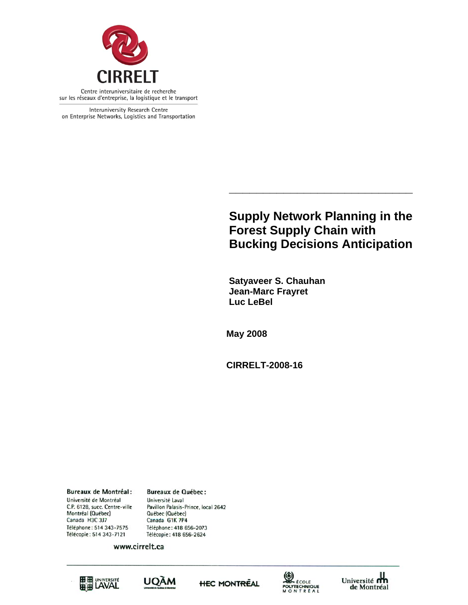

Interuniversity Research Centre on Enterprise Networks, Logistics and Transportation

# **Supply Network Planning in the Forest Supply Chain with Bucking Decisions Anticipation**

**\_\_\_\_\_\_\_\_\_\_\_\_\_\_\_\_\_\_\_\_\_\_\_\_\_\_\_** 

 **Satyaveer S. Chauhan Jean-Marc Frayret Luc LeBel** 

**May 2008** 

**CIRRELT-2008-16** 

**Bureaux de Montréal:** Université de Montréal C.P. 6128, succ. Centre-ville Montréal (Québec) Canada H3C 3J7 Téléphone: 514 343-7575 Télécopie: 514 343-7121

**Bureaux de Québec:** Université Laval Pavillon Palasis-Prince, local 2642 Québec (Québec) Canada G1K 7P4 Téléphone: 418 656-2073 Télécopie: 418 656-2624

www.cirrelt.ca









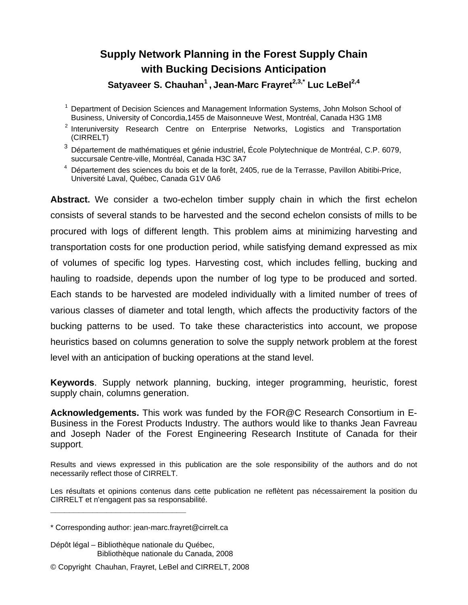# **Supply Network Planning in the Forest Supply Chain with Bucking Decisions Anticipation**  Satyaveer S. Chauhan<sup>1</sup>, Jean-Marc Frayret<sup>2,3,\*</sup> Luc LeBel<sup>2,4</sup>

- <sup>1</sup> Department of Decision Sciences and Management Information Systems, John Molson School of Business, University of Concordia,1455 de Maisonneuve West, Montréal, Canada H3G 1M8
- <sup>2</sup> Interuniversity Research Centre on Enterprise Networks, Logistics and Transportation (CIRRELT)
- $3$  Département de mathématiques et génie industriel, École Polytechnique de Montréal, C.P. 6079, succursale Centre-ville, Montréal, Canada H3C 3A7
- 4 Département des sciences du bois et de la forêt, 2405, rue de la Terrasse, Pavillon Abitibi-Price, Université Laval, Québec, Canada G1V 0A6

**Abstract.** We consider a two-echelon timber supply chain in which the first echelon consists of several stands to be harvested and the second echelon consists of mills to be procured with logs of different length. This problem aims at minimizing harvesting and transportation costs for one production period, while satisfying demand expressed as mix of volumes of specific log types. Harvesting cost, which includes felling, bucking and hauling to roadside, depends upon the number of log type to be produced and sorted. Each stands to be harvested are modeled individually with a limited number of trees of various classes of diameter and total length, which affects the productivity factors of the bucking patterns to be used. To take these characteristics into account, we propose heuristics based on columns generation to solve the supply network problem at the forest level with an anticipation of bucking operations at the stand level.

**Keywords**. Supply network planning, bucking, integer programming, heuristic, forest supply chain, columns generation.

**Acknowledgements.** This work was funded by the FOR@C Research Consortium in E-Business in the Forest Products Industry. The authors would like to thanks Jean Favreau and Joseph Nader of the Forest Engineering Research Institute of Canada for their support.

Results and views expressed in this publication are the sole responsibility of the authors and do not necessarily reflect those of CIRRELT.

Les résultats et opinions contenus dans cette publication ne reflètent pas nécessairement la position du CIRRELT et n'engagent pas sa responsabilité.

**\_\_\_\_\_\_\_\_\_\_\_\_\_\_\_\_\_\_\_\_\_\_\_\_\_\_\_\_\_**

Dépôt légal – Bibliothèque nationale du Québec, Bibliothèque nationale du Canada, 2008

<sup>\*</sup> Corresponding author: jean-marc.frayret@cirrelt.ca

<sup>©</sup> Copyright Chauhan, Frayret, LeBel and CIRRELT, 2008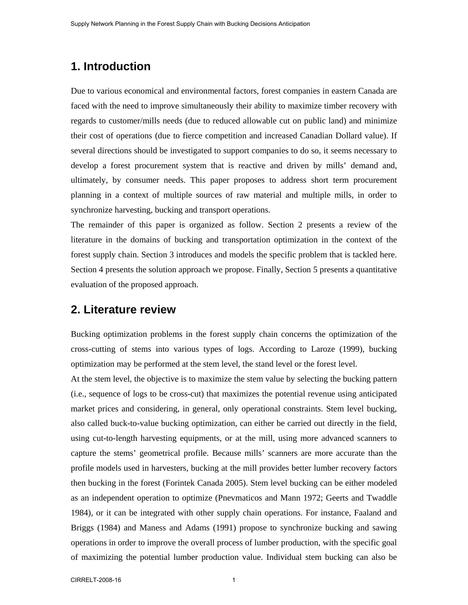# **1. Introduction**

Due to various economical and environmental factors, forest companies in eastern Canada are faced with the need to improve simultaneously their ability to maximize timber recovery with regards to customer/mills needs (due to reduced allowable cut on public land) and minimize their cost of operations (due to fierce competition and increased Canadian Dollard value). If several directions should be investigated to support companies to do so, it seems necessary to develop a forest procurement system that is reactive and driven by mills' demand and, ultimately, by consumer needs. This paper proposes to address short term procurement planning in a context of multiple sources of raw material and multiple mills, in order to synchronize harvesting, bucking and transport operations.

The remainder of this paper is organized as follow. Section 2 presents a review of the literature in the domains of bucking and transportation optimization in the context of the forest supply chain. Section 3 introduces and models the specific problem that is tackled here. Section 4 presents the solution approach we propose. Finally, Section 5 presents a quantitative evaluation of the proposed approach.

## **2. Literature review**

Bucking optimization problems in the forest supply chain concerns the optimization of the cross-cutting of stems into various types of logs. According to Laroze (1999), bucking optimization may be performed at the stem level, the stand level or the forest level.

At the stem level, the objective is to maximize the stem value by selecting the bucking pattern (i.e., sequence of logs to be cross-cut) that maximizes the potential revenue using anticipated market prices and considering, in general, only operational constraints. Stem level bucking, also called buck-to-value bucking optimization, can either be carried out directly in the field, using cut-to-length harvesting equipments, or at the mill, using more advanced scanners to capture the stems' geometrical profile. Because mills' scanners are more accurate than the profile models used in harvesters, bucking at the mill provides better lumber recovery factors then bucking in the forest (Forintek Canada 2005). Stem level bucking can be either modeled as an independent operation to optimize (Pnevmaticos and Mann 1972; Geerts and Twaddle 1984), or it can be integrated with other supply chain operations. For instance, Faaland and Briggs (1984) and Maness and Adams (1991) propose to synchronize bucking and sawing operations in order to improve the overall process of lumber production, with the specific goal of maximizing the potential lumber production value. Individual stem bucking can also be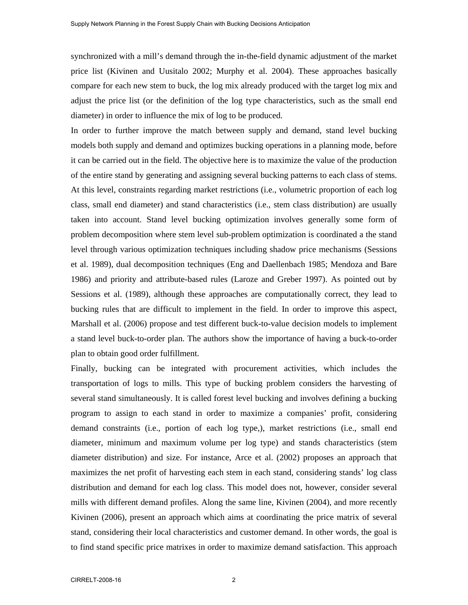synchronized with a mill's demand through the in-the-field dynamic adjustment of the market price list (Kivinen and Uusitalo 2002; Murphy et al. 2004). These approaches basically compare for each new stem to buck, the log mix already produced with the target log mix and adjust the price list (or the definition of the log type characteristics, such as the small end diameter) in order to influence the mix of log to be produced.

In order to further improve the match between supply and demand, stand level bucking models both supply and demand and optimizes bucking operations in a planning mode, before it can be carried out in the field. The objective here is to maximize the value of the production of the entire stand by generating and assigning several bucking patterns to each class of stems. At this level, constraints regarding market restrictions (i.e., volumetric proportion of each log class, small end diameter) and stand characteristics (i.e., stem class distribution) are usually taken into account. Stand level bucking optimization involves generally some form of problem decomposition where stem level sub-problem optimization is coordinated a the stand level through various optimization techniques including shadow price mechanisms (Sessions et al. 1989), dual decomposition techniques (Eng and Daellenbach 1985; Mendoza and Bare 1986) and priority and attribute-based rules (Laroze and Greber 1997). As pointed out by Sessions et al. (1989), although these approaches are computationally correct, they lead to bucking rules that are difficult to implement in the field. In order to improve this aspect, Marshall et al. (2006) propose and test different buck-to-value decision models to implement a stand level buck-to-order plan. The authors show the importance of having a buck-to-order plan to obtain good order fulfillment.

Finally, bucking can be integrated with procurement activities, which includes the transportation of logs to mills. This type of bucking problem considers the harvesting of several stand simultaneously. It is called forest level bucking and involves defining a bucking program to assign to each stand in order to maximize a companies' profit, considering demand constraints (i.e., portion of each log type,), market restrictions (i.e., small end diameter, minimum and maximum volume per log type) and stands characteristics (stem diameter distribution) and size. For instance, Arce et al. (2002) proposes an approach that maximizes the net profit of harvesting each stem in each stand, considering stands' log class distribution and demand for each log class. This model does not, however, consider several mills with different demand profiles. Along the same line, Kivinen (2004), and more recently Kivinen (2006), present an approach which aims at coordinating the price matrix of several stand, considering their local characteristics and customer demand. In other words, the goal is to find stand specific price matrixes in order to maximize demand satisfaction. This approach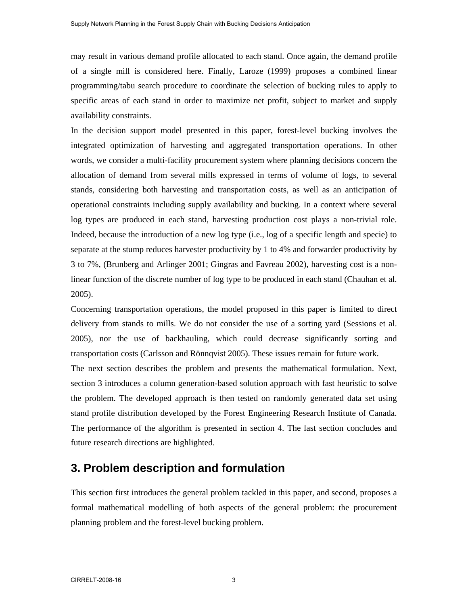may result in various demand profile allocated to each stand. Once again, the demand profile of a single mill is considered here. Finally, Laroze (1999) proposes a combined linear programming/tabu search procedure to coordinate the selection of bucking rules to apply to specific areas of each stand in order to maximize net profit, subject to market and supply availability constraints.

In the decision support model presented in this paper, forest-level bucking involves the integrated optimization of harvesting and aggregated transportation operations. In other words, we consider a multi-facility procurement system where planning decisions concern the allocation of demand from several mills expressed in terms of volume of logs, to several stands, considering both harvesting and transportation costs, as well as an anticipation of operational constraints including supply availability and bucking. In a context where several log types are produced in each stand, harvesting production cost plays a non-trivial role. Indeed, because the introduction of a new log type (i.e., log of a specific length and specie) to separate at the stump reduces harvester productivity by 1 to 4% and forwarder productivity by 3 to 7%, (Brunberg and Arlinger 2001; Gingras and Favreau 2002), harvesting cost is a nonlinear function of the discrete number of log type to be produced in each stand (Chauhan et al. 2005).

Concerning transportation operations, the model proposed in this paper is limited to direct delivery from stands to mills. We do not consider the use of a sorting yard (Sessions et al. 2005), nor the use of backhauling, which could decrease significantly sorting and transportation costs (Carlsson and Rönnqvist 2005). These issues remain for future work. The next section describes the problem and presents the mathematical formulation. Next, section 3 introduces a column generation-based solution approach with fast heuristic to solve the problem. The developed approach is then tested on randomly generated data set using stand profile distribution developed by the Forest Engineering Research Institute of Canada. The performance of the algorithm is presented in section 4. The last section concludes and future research directions are highlighted.

# **3. Problem description and formulation**

This section first introduces the general problem tackled in this paper, and second, proposes a formal mathematical modelling of both aspects of the general problem: the procurement planning problem and the forest-level bucking problem.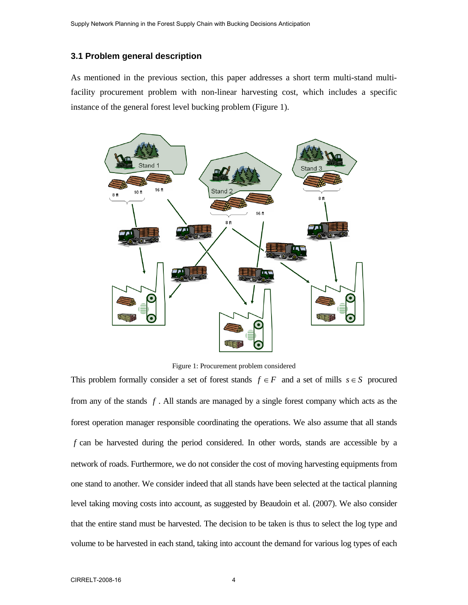### **3.1 Problem general description**

As mentioned in the previous section, this paper addresses a short term multi-stand multifacility procurement problem with non-linear harvesting cost, which includes a specific instance of the general forest level bucking problem (Figure 1).



Figure 1: Procurement problem considered

This problem formally consider a set of forest stands  $f \in F$  and a set of mills  $s \in S$  procured from any of the stands *f* . All stands are managed by a single forest company which acts as the forest operation manager responsible coordinating the operations. We also assume that all stands *f* can be harvested during the period considered. In other words, stands are accessible by a network of roads. Furthermore, we do not consider the cost of moving harvesting equipments from one stand to another. We consider indeed that all stands have been selected at the tactical planning level taking moving costs into account, as suggested by Beaudoin et al. (2007). We also consider that the entire stand must be harvested. The decision to be taken is thus to select the log type and volume to be harvested in each stand, taking into account the demand for various log types of each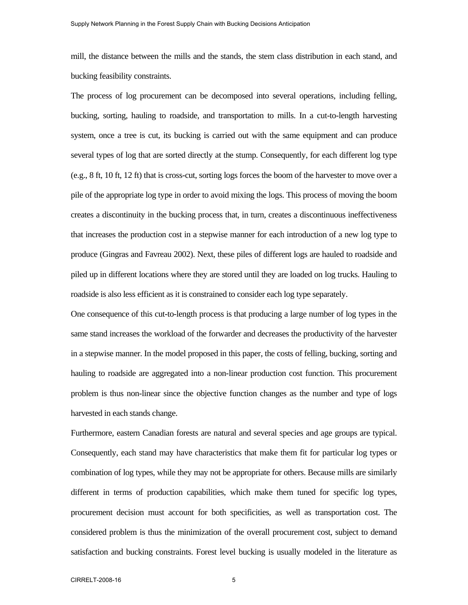mill, the distance between the mills and the stands, the stem class distribution in each stand, and bucking feasibility constraints.

The process of log procurement can be decomposed into several operations, including felling, bucking, sorting, hauling to roadside, and transportation to mills. In a cut-to-length harvesting system, once a tree is cut, its bucking is carried out with the same equipment and can produce several types of log that are sorted directly at the stump. Consequently, for each different log type (e.g., 8 ft, 10 ft, 12 ft) that is cross-cut, sorting logs forces the boom of the harvester to move over a pile of the appropriate log type in order to avoid mixing the logs. This process of moving the boom creates a discontinuity in the bucking process that, in turn, creates a discontinuous ineffectiveness that increases the production cost in a stepwise manner for each introduction of a new log type to produce (Gingras and Favreau 2002). Next, these piles of different logs are hauled to roadside and piled up in different locations where they are stored until they are loaded on log trucks. Hauling to roadside is also less efficient as it is constrained to consider each log type separately.

One consequence of this cut-to-length process is that producing a large number of log types in the same stand increases the workload of the forwarder and decreases the productivity of the harvester in a stepwise manner. In the model proposed in this paper, the costs of felling, bucking, sorting and hauling to roadside are aggregated into a non-linear production cost function. This procurement problem is thus non-linear since the objective function changes as the number and type of logs harvested in each stands change.

Furthermore, eastern Canadian forests are natural and several species and age groups are typical. Consequently, each stand may have characteristics that make them fit for particular log types or combination of log types, while they may not be appropriate for others. Because mills are similarly different in terms of production capabilities, which make them tuned for specific log types, procurement decision must account for both specificities, as well as transportation cost. The considered problem is thus the minimization of the overall procurement cost, subject to demand satisfaction and bucking constraints. Forest level bucking is usually modeled in the literature as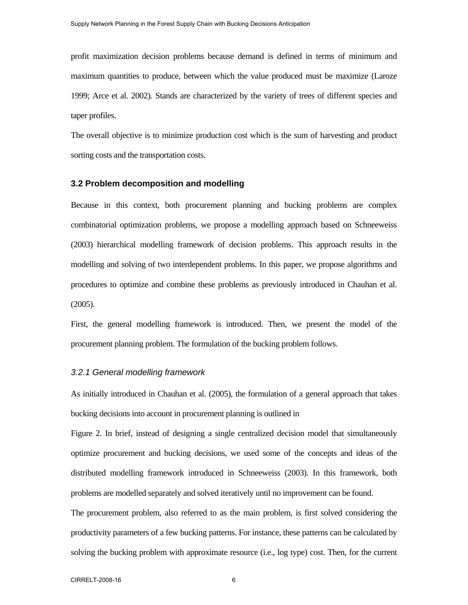profit maximization decision problems because demand is defined in terms of minimum and maximum quantities to produce, between which the value produced must be maximize (Laroze 1999; Arce et al. 2002). Stands are characterized by the variety of trees of different species and taper profiles.

The overall objective is to minimize production cost which is the sum of harvesting and product sorting costs and the transportation costs.

#### **3.2 Problem decomposition and modelling**

Because in this context, both procurement planning and bucking problems are complex combinatorial optimization problems, we propose a modelling approach based on Schneeweiss (2003) hierarchical modelling framework of decision problems. This approach results in the modelling and solving of two interdependent problems. In this paper, we propose algorithms and procedures to optimize and combine these problems as previously introduced in Chauhan et al. (2005).

First, the general modelling framework is introduced. Then, we present the model of the procurement planning problem. The formulation of the bucking problem follows.

### *3.2.1 General modelling framework*

As initially introduced in Chauhan et al. (2005), the formulation of a general approach that takes bucking decisions into account in procurement planning is outlined in

Figure 2. In brief, instead of designing a single centralized decision model that simultaneously optimize procurement and bucking decisions, we used some of the concepts and ideas of the distributed modelling framework introduced in Schneeweiss (2003). In this framework, both problems are modelled separately and solved iteratively until no improvement can be found.

The procurement problem, also referred to as the main problem, is first solved considering the productivity parameters of a few bucking patterns. For instance, these patterns can be calculated by solving the bucking problem with approximate resource (i.e., log type) cost. Then, for the current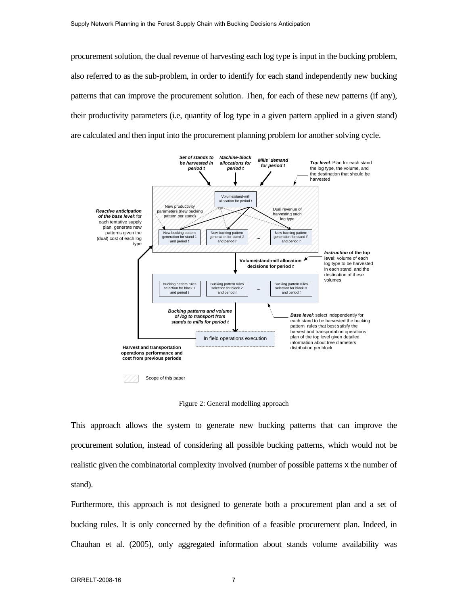procurement solution, the dual revenue of harvesting each log type is input in the bucking problem, also referred to as the sub-problem, in order to identify for each stand independently new bucking patterns that can improve the procurement solution. Then, for each of these new patterns (if any), their productivity parameters (i.e, quantity of log type in a given pattern applied in a given stand) are calculated and then input into the procurement planning problem for another solving cycle.



Figure 2: General modelling approach

This approach allows the system to generate new bucking patterns that can improve the procurement solution, instead of considering all possible bucking patterns, which would not be realistic given the combinatorial complexity involved (number of possible patterns x the number of stand).

Furthermore, this approach is not designed to generate both a procurement plan and a set of bucking rules. It is only concerned by the definition of a feasible procurement plan. Indeed, in Chauhan et al. (2005), only aggregated information about stands volume availability was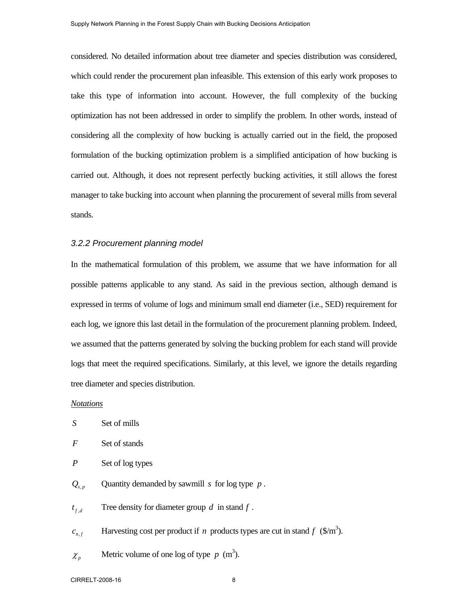considered. No detailed information about tree diameter and species distribution was considered, which could render the procurement plan infeasible. This extension of this early work proposes to take this type of information into account. However, the full complexity of the bucking optimization has not been addressed in order to simplify the problem. In other words, instead of considering all the complexity of how bucking is actually carried out in the field, the proposed formulation of the bucking optimization problem is a simplified anticipation of how bucking is carried out. Although, it does not represent perfectly bucking activities, it still allows the forest manager to take bucking into account when planning the procurement of several mills from several stands.

### *3.2.2 Procurement planning model*

In the mathematical formulation of this problem, we assume that we have information for all possible patterns applicable to any stand. As said in the previous section, although demand is expressed in terms of volume of logs and minimum small end diameter (i.e., SED) requirement for each log, we ignore this last detail in the formulation of the procurement planning problem. Indeed, we assumed that the patterns generated by solving the bucking problem for each stand will provide logs that meet the required specifications. Similarly, at this level, we ignore the details regarding tree diameter and species distribution.

### *Notations*

- *F* Set of stands
- *P* Set of log types
- $Q_{s,p}$  Quantity demanded by sawmill *s* for log type *p*.
- $t_{f,d}$  Tree density for diameter group *d* in stand *f*.
- *c*<sub>n,*f*</sub> Harvesting cost per product if *n* products types are cut in stand *f* (\$/m<sup>3</sup>).
- $\chi_p$  Metric volume of one log of type  $p \text{ (m}^3)$ .

CIRRELT-2008-16 8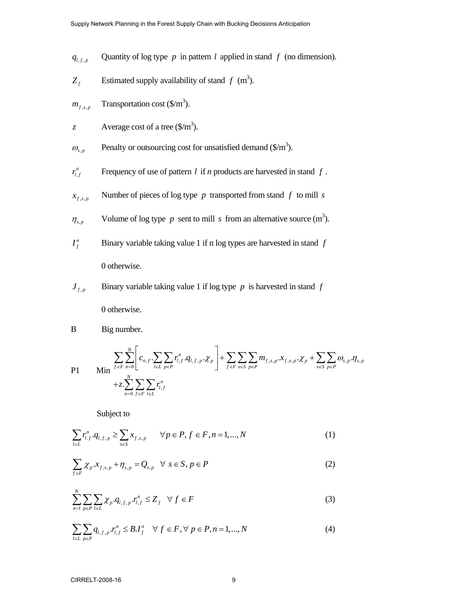- $q_{l,f,p}$  Quantity of log type *p* in pattern *l* applied in stand *f* (no dimension).
- $Z_f$  Estimated supply availability of stand  $f$  (m<sup>3</sup>).
- $m_{f,s,p}$  Transportation cost (\$/m<sup>3</sup>).
- z Average cost of a tree  $(\frac{1}{3})^2$ .
- $\omega_{s,p}$  Penalty or outsourcing cost for unsatisfied demand (\$/m<sup>3</sup>).
- , *n l f r* Frequency of use of pattern *l* if *n* products are harvested in stand *f* .
- $x_{f,s,p}$  **Number of pieces of log type** *p* **transported from stand** *f* **to mill** *s*
- $\eta_{s,p}$  Volume of log type *p* sent to mill *s* from an alternative source (m<sup>3</sup>).
- $I_f^n$ *<sup>f</sup> I* Binary variable taking value 1 if n log types are harvested in stand *f* 0 otherwise.
- $J_{f,p}$  Binary variable taking value 1 if log type *p* is harvested in stand *f* 0 otherwise.
- B Big number.

$$
\text{P1} \qquad \text{Min} \sum_{f \in F} \sum_{n=0}^{N} \left[ c_{n,f} \sum_{l \in L} \sum_{p \in P} r_{l,f}^{n} \cdot q_{l,f,p} \cdot \chi_{p} \right] + \sum_{f \in F} \sum_{s \in S} \sum_{p \in P} m_{f,s,p} \cdot x_{f,s,p} \cdot \chi_{p} + \sum_{s \in S} \sum_{p \in P} \omega_{s,p} \cdot \eta_{s,p} + z \cdot \sum_{n=0}^{N} \sum_{f \in F} \sum_{l \in L} r_{l,f}^{n}
$$

Subject to

$$
\sum_{l \in L} r_{l,f}^n \cdot q_{l,f,p} \ge \sum_{s \in S} x_{f,s,p} \qquad \forall p \in P, f \in F, n = 1, ..., N
$$
 (1)

$$
\sum_{f \in F} \chi_p x_{f,s,p} + \eta_{s,p} = Q_{s,p} \quad \forall \ s \in S, p \in P
$$
 (2)

$$
\sum_{n=1}^{N} \sum_{p \in P} \sum_{l \in L} \chi_p \cdot q_{l,f,p} \cdot r_{l,f}^n \le Z_f \quad \forall \ f \in F
$$
 (3)

$$
\sum_{l \in L} \sum_{p \in P} q_{l,f,p} r_{l,f}^{n} \leq B.I_{f}^{n} \quad \forall \ f \in F, \forall \ p \in P, n = 1,...,N
$$
 (4)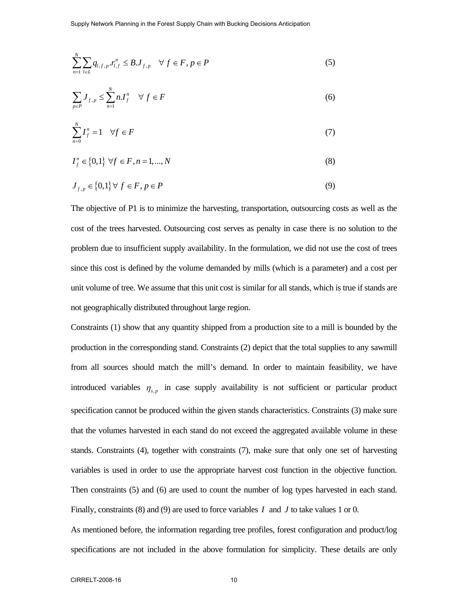$$
\sum_{n=1}^{N} \sum_{l \in L} q_{l,f,p} r_{l,f}^{n} \leq B.J_{f,p} \quad \forall f \in F, p \in P
$$
\n
$$
(5)
$$

$$
\sum_{p \in P} J_{f, p} \le \sum_{n=1}^{N} n I_f^n \quad \forall f \in F
$$
 (6)

$$
\sum_{n=0}^{N} I_f^n = 1 \quad \forall f \in F \tag{7}
$$

$$
I_f^n \in \{0,1\} \,\,\forall f \in F, n = 1, \dots, N \tag{8}
$$

$$
J_{f,p} \in \{0,1\} \,\forall \, f \in F, \, p \in P \tag{9}
$$

The objective of P1 is to minimize the harvesting, transportation, outsourcing costs as well as the cost of the trees harvested. Outsourcing cost serves as penalty in case there is no solution to the problem due to insufficient supply availability. In the formulation, we did not use the cost of trees since this cost is defined by the volume demanded by mills (which is a parameter) and a cost per unit volume of tree. We assume that this unit cost is similar for all stands, which is true if stands are not geographically distributed throughout large region.

Constraints (1) show that any quantity shipped from a production site to a mill is bounded by the production in the corresponding stand. Constraints (2) depict that the total supplies to any sawmill from all sources should match the mill's demand. In order to maintain feasibility, we have introduced variables  $\eta_{s,p}$  in case supply availability is not sufficient or particular product specification cannot be produced within the given stands characteristics. Constraints (3) make sure that the volumes harvested in each stand do not exceed the aggregated available volume in these stands. Constraints (4), together with constraints (7), make sure that only one set of harvesting variables is used in order to use the appropriate harvest cost function in the objective function. Then constraints (5) and (6) are used to count the number of log types harvested in each stand. Finally, constraints (8) and (9) are used to force variables *I* and *J* to take values 1 or 0.

As mentioned before, the information regarding tree profiles, forest configuration and product/log specifications are not included in the above formulation for simplicity. These details are only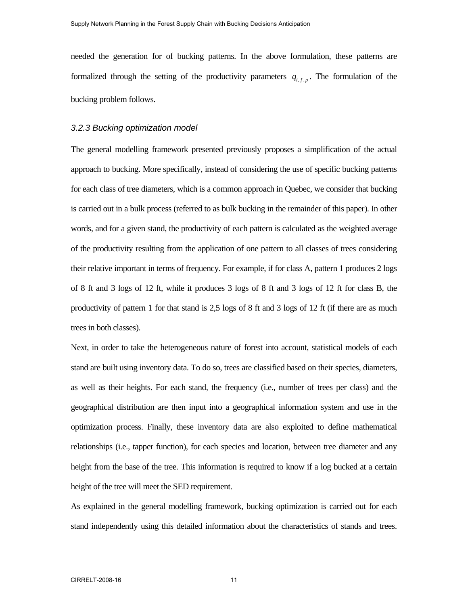needed the generation for of bucking patterns. In the above formulation, these patterns are formalized through the setting of the productivity parameters  $q_{l,f,p}$ . The formulation of the bucking problem follows.

### *3.2.3 Bucking optimization model*

The general modelling framework presented previously proposes a simplification of the actual approach to bucking. More specifically, instead of considering the use of specific bucking patterns for each class of tree diameters, which is a common approach in Quebec, we consider that bucking is carried out in a bulk process (referred to as bulk bucking in the remainder of this paper). In other words, and for a given stand, the productivity of each pattern is calculated as the weighted average of the productivity resulting from the application of one pattern to all classes of trees considering their relative important in terms of frequency. For example, if for class A, pattern 1 produces 2 logs of 8 ft and 3 logs of 12 ft, while it produces 3 logs of 8 ft and 3 logs of 12 ft for class B, the productivity of pattern 1 for that stand is 2,5 logs of 8 ft and 3 logs of 12 ft (if there are as much trees in both classes).

Next, in order to take the heterogeneous nature of forest into account, statistical models of each stand are built using inventory data. To do so, trees are classified based on their species, diameters, as well as their heights. For each stand, the frequency (i.e., number of trees per class) and the geographical distribution are then input into a geographical information system and use in the optimization process. Finally, these inventory data are also exploited to define mathematical relationships (i.e., tapper function), for each species and location, between tree diameter and any height from the base of the tree. This information is required to know if a log bucked at a certain height of the tree will meet the SED requirement.

As explained in the general modelling framework, bucking optimization is carried out for each stand independently using this detailed information about the characteristics of stands and trees.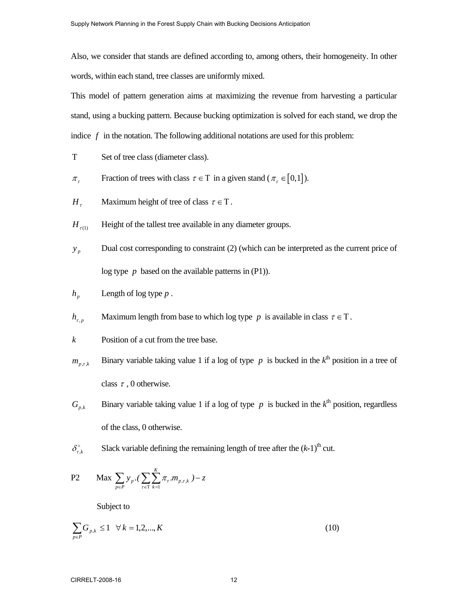Also, we consider that stands are defined according to, among others, their homogeneity. In other words, within each stand, tree classes are uniformly mixed.

This model of pattern generation aims at maximizing the revenue from harvesting a particular stand, using a bucking pattern. Because bucking optimization is solved for each stand, we drop the indice  $f$  in the notation. The following additional notations are used for this problem:

- Τ Set of tree class (diameter class).
- $\pi_{\tau}$  Fraction of trees with class  $\tau \in T$  in a given stand ( $\pi_{\tau} \in [0,1]$ ).
- *H*<sub>τ</sub> Maximum height of tree of class  $\tau \in T$ .
- $H_{\tau(1)}$  Height of the tallest tree available in any diameter groups.
- *p*<sub>*p*</sub> Dual cost corresponding to constraint (2) (which can be interpreted as the current price of log type *p* based on the available patterns in (P1)).

$$
h_p
$$
 Length of log type  $p$ .

*h*<sub>τ, *p*</sub> Maximum length from base to which log type *p* is available in class  $\tau \in T$ .

$$
k
$$
 Position of a cut from the tree base.

- $m_{p,r,k}$  Binary variable taking value 1 if a log of type *p* is bucked in the  $k^{\text{th}}$  position in a tree of class  $\tau$ , 0 otherwise.
- $G_{p,k}$  Binary variable taking value 1 if a log of type *p* is bucked in the  $k^{\text{th}}$  position, regardless of the class, 0 otherwise.
- $\delta_{\tau k}^{+}$  Slack variable defining the remaining length of tree after the  $(k-1)$ <sup>th</sup> cut.

P2 Max 
$$
\sum_{p \in P} y_p \cdot (\sum_{\tau \in T} \sum_{k=1}^{K} \pi_{\tau} m_{p,\tau,k}) - z
$$

Subject to

$$
\sum_{p \in P} G_{p,k} \le 1 \quad \forall \, k = 1, 2, ..., K \tag{10}
$$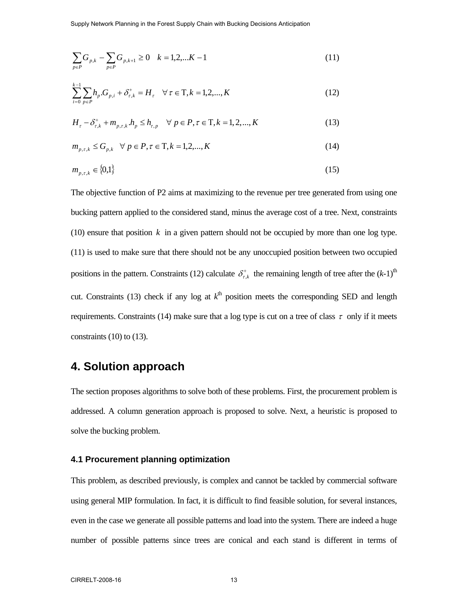Supply Network Planning in the Forest Supply Chain with Bucking Decisions Anticipation

$$
\sum_{p \in P} G_{p,k} - \sum_{p \in P} G_{p,k+1} \ge 0 \quad k = 1, 2, \dots K - 1 \tag{11}
$$

$$
\sum_{i=0}^{k-1} \sum_{p \in P} h_p \cdot G_{p,i} + \delta_{r,k}^+ = H_r \quad \forall \tau \in \mathcal{T}, k = 1, 2, ..., K
$$
 (12)

$$
H_{\tau} - \delta_{\tau,k}^{+} + m_{p,\tau,k}.h_{p} \le h_{\tau,p} \quad \forall \ p \in P, \tau \in T, k = 1, 2, ..., K
$$
 (13)

$$
m_{p,\tau,k} \le G_{p,k} \quad \forall \ p \in P, \tau \in T, k = 1,2,...,K \tag{14}
$$

$$
m_{p,\tau,k} \in \{0,1\} \tag{15}
$$

The objective function of P2 aims at maximizing to the revenue per tree generated from using one bucking pattern applied to the considered stand, minus the average cost of a tree. Next, constraints (10) ensure that position *k* in a given pattern should not be occupied by more than one log type. (11) is used to make sure that there should not be any unoccupied position between two occupied positions in the pattern. Constraints (12) calculate  $\delta_{r,k}^+$  the remaining length of tree after the  $(k-1)$ <sup>th</sup> cut. Constraints (13) check if any log at  $k^{\text{th}}$  position meets the corresponding SED and length requirements. Constraints (14) make sure that a log type is cut on a tree of class  $\tau$  only if it meets constraints  $(10)$  to  $(13)$ .

# **4. Solution approach**

The section proposes algorithms to solve both of these problems. First, the procurement problem is addressed. A column generation approach is proposed to solve. Next, a heuristic is proposed to solve the bucking problem.

### **4.1 Procurement planning optimization**

This problem, as described previously, is complex and cannot be tackled by commercial software using general MIP formulation. In fact, it is difficult to find feasible solution, for several instances, even in the case we generate all possible patterns and load into the system. There are indeed a huge number of possible patterns since trees are conical and each stand is different in terms of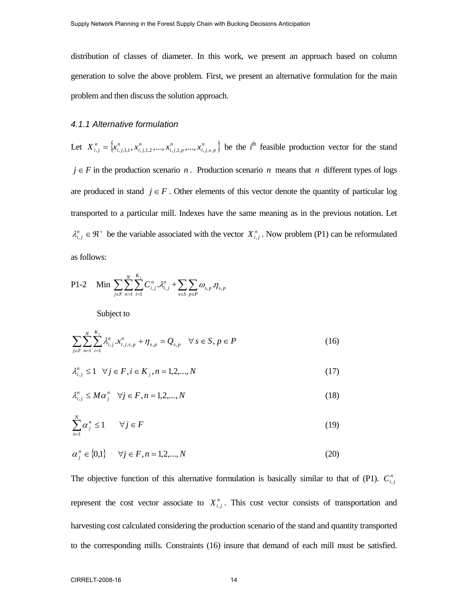distribution of classes of diameter. In this work, we present an approach based on column generation to solve the above problem. First, we present an alternative formulation for the main problem and then discuss the solution approach.

### *4.1.1 Alternative formulation*

Let  $X_{i,j}^n = \{x_{i,j,1,1}^n, x_{i,j,1,2}^n, \ldots, x_{i,j,1,p}^n, \ldots, x_{i,j,s,p}^n\}$  be the *i*<sup>th</sup> feasible production vector for the stand  $j \in F$  in the production scenario *n*. Production scenario *n* means that *n* different types of logs are produced in stand  $j \in F$ . Other elements of this vector denote the quantity of particular log transported to a particular mill. Indexes have the same meaning as in the previous notation. Let  $\lambda_{i,j}^n \in \mathfrak{R}^+$  be the variable associated with the vector  $X_{i,j}^n$ . Now problem (P1) can be reformulated as follows:

P1-2 Min  $\sum_{j \in F} \sum_{n=1}^{N} \sum_{i=1}^{K_j}$ *n K i*  $\lambda_{i,j}^n$ ,  $\lambda_{i,j}^n$  $\int$ <sup>*j*</sup> $C$  $\sum_{i=1}^{n}\sum_{i=1}^{n}C_{i,j}^{n}$  . $\mathcal{X}_{i,j}^{n}$  +  $\sum_{s\in S}\sum_{p\in P}\omega_{s,p}$  . $\eta_{s,p}$  $\omega_{\rm s}$   $\eta$  $\sum_{s \in S} \sum_{p \in P}$ 

Subject to

$$
\sum_{j\in F} \sum_{n=1}^{N} \sum_{i=1}^{K_j} \lambda_{i,j}^n x_{i,j,s,p}^n + \eta_{s,p} = Q_{s,p} \quad \forall s \in S, p \in P
$$
\n(16)

$$
\lambda_{i,j}^n \le 1 \quad \forall j \in F, i \in K_j, n = 1, 2, ..., N \tag{17}
$$

$$
\lambda_{i,j}^n \leq M \alpha_j^n \quad \forall j \in F, n = 1, 2, \dots, N \tag{18}
$$

$$
\sum_{n=1}^{N} \alpha_j^n \le 1 \qquad \forall j \in F \tag{19}
$$

$$
\alpha_j^n \in \{0,1\} \qquad \forall j \in F, n = 1, 2, ..., N \tag{20}
$$

The objective function of this alternative formulation is basically similar to that of (P1).  $C_{i,j}^n$ represent the cost vector associate to  $X_{i,j}^n$ . This cost vector consists of transportation and harvesting cost calculated considering the production scenario of the stand and quantity transported to the corresponding mills. Constraints (16) insure that demand of each mill must be satisfied.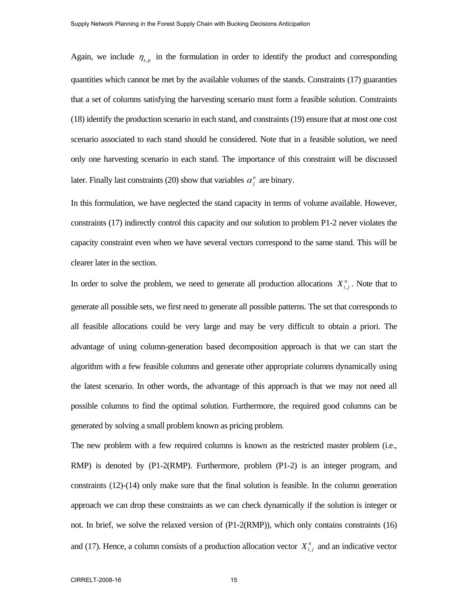Again, we include  $\eta_{s,p}$  in the formulation in order to identify the product and corresponding quantities which cannot be met by the available volumes of the stands. Constraints (17) guaranties that a set of columns satisfying the harvesting scenario must form a feasible solution. Constraints (18) identify the production scenario in each stand, and constraints (19) ensure that at most one cost scenario associated to each stand should be considered. Note that in a feasible solution, we need only one harvesting scenario in each stand. The importance of this constraint will be discussed later. Finally last constraints (20) show that variables  $\alpha_j^n$  are binary.

In this formulation, we have neglected the stand capacity in terms of volume available. However, constraints (17) indirectly control this capacity and our solution to problem P1-2 never violates the capacity constraint even when we have several vectors correspond to the same stand. This will be clearer later in the section.

In order to solve the problem, we need to generate all production allocations  $X_{i,j}^n$ . Note that to generate all possible sets, we first need to generate all possible patterns. The set that corresponds to all feasible allocations could be very large and may be very difficult to obtain a priori. The advantage of using column-generation based decomposition approach is that we can start the algorithm with a few feasible columns and generate other appropriate columns dynamically using the latest scenario. In other words, the advantage of this approach is that we may not need all possible columns to find the optimal solution. Furthermore, the required good columns can be generated by solving a small problem known as pricing problem.

The new problem with a few required columns is known as the restricted master problem (i.e., RMP) is denoted by (P1-2(RMP). Furthermore, problem (P1-2) is an integer program, and constraints (12)-(14) only make sure that the final solution is feasible. In the column generation approach we can drop these constraints as we can check dynamically if the solution is integer or not. In brief, we solve the relaxed version of (P1-2(RMP)), which only contains constraints (16) and (17). Hence, a column consists of a production allocation vector  $X_{i,j}^n$  and an indicative vector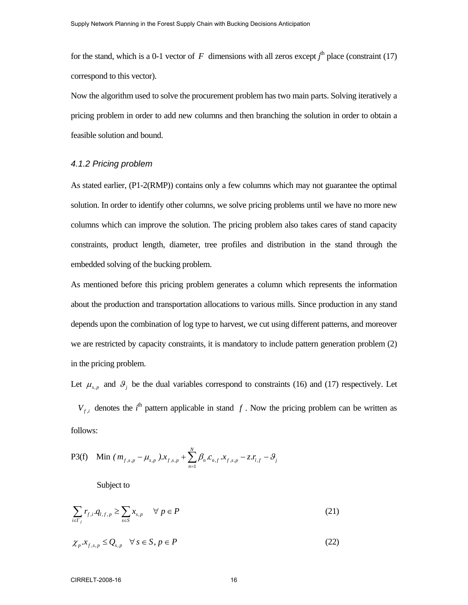for the stand, which is a 0-1 vector of  $F$  dimensions with all zeros except  $j^{\text{th}}$  place (constraint (17) correspond to this vector).

Now the algorithm used to solve the procurement problem has two main parts. Solving iteratively a pricing problem in order to add new columns and then branching the solution in order to obtain a feasible solution and bound.

### *4.1.2 Pricing problem*

As stated earlier, (P1-2(RMP)) contains only a few columns which may not guarantee the optimal solution. In order to identify other columns, we solve pricing problems until we have no more new columns which can improve the solution. The pricing problem also takes cares of stand capacity constraints, product length, diameter, tree profiles and distribution in the stand through the embedded solving of the bucking problem.

As mentioned before this pricing problem generates a column which represents the information about the production and transportation allocations to various mills. Since production in any stand depends upon the combination of log type to harvest, we cut using different patterns, and moreover we are restricted by capacity constraints, it is mandatory to include pattern generation problem  $(2)$ in the pricing problem.

Let  $\mu_{s,p}$  and  $\theta_j$  be the dual variables correspond to constraints (16) and (17) respectively. Let

 $V_{f,i}$  denotes the *i*<sup>th</sup> pattern applicable in stand *f*. Now the pricing problem can be written as follows:

P3(f) Min 
$$
(m_{f,s,p} - \mu_{s,p})
$$
. $x_{f,s,p} + \sum_{n=1}^{N} \beta_n c_{n,f}$ . $x_{f,s,p} - z$ . $r_{i,f} - \beta_j$ 

Subject to

$$
\sum_{i \in \Gamma_f} r_{f,i} \cdot q_{i,f,p} \ge \sum_{s \in S} x_{s,p} \quad \forall \ p \in P \tag{21}
$$

$$
\chi_p.x_{f,s,p} \le Q_{s,p} \quad \forall \, s \in S, p \in P \tag{22}
$$

### CIRRELT-2008-16 16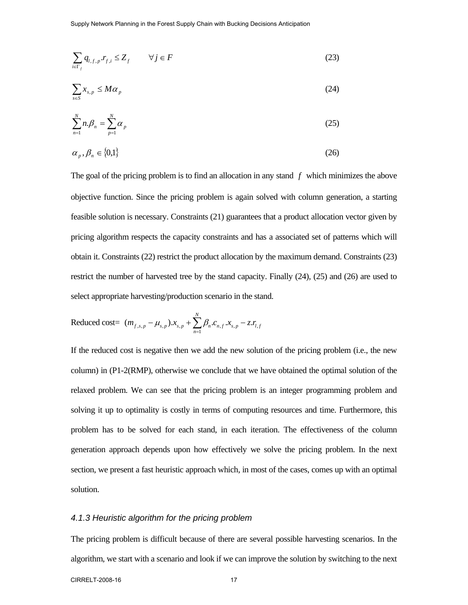Supply Network Planning in the Forest Supply Chain with Bucking Decisions Anticipation

$$
\sum_{i \in \Gamma_f} q_{i, f, p} \cdot r_{f, i} \le Z_f \qquad \forall j \in F \tag{23}
$$

$$
\sum_{s \in S} x_{s,p} \le M \alpha_p \tag{24}
$$

$$
\sum_{n=1}^{N} n \beta_n = \sum_{p=1}^{N} \alpha_p \tag{25}
$$

$$
\alpha_p, \beta_n \in \{0,1\} \tag{26}
$$

The goal of the pricing problem is to find an allocation in any stand *f* which minimizes the above objective function. Since the pricing problem is again solved with column generation, a starting feasible solution is necessary. Constraints (21) guarantees that a product allocation vector given by pricing algorithm respects the capacity constraints and has a associated set of patterns which will obtain it. Constraints (22) restrict the product allocation by the maximum demand. Constraints (23) restrict the number of harvested tree by the stand capacity. Finally (24), (25) and (26) are used to select appropriate harvesting/production scenario in the stand.

Reduced cost= 
$$
(m_{f,s,p} - \mu_{s,p}) \cdot x_{s,p} + \sum_{n=1}^{N} \beta_n \cdot c_{n,f} \cdot x_{s,p} - z \cdot r_{l,f}
$$

If the reduced cost is negative then we add the new solution of the pricing problem (i.e., the new column) in (P1-2(RMP), otherwise we conclude that we have obtained the optimal solution of the relaxed problem. We can see that the pricing problem is an integer programming problem and solving it up to optimality is costly in terms of computing resources and time. Furthermore, this problem has to be solved for each stand, in each iteration. The effectiveness of the column generation approach depends upon how effectively we solve the pricing problem. In the next section, we present a fast heuristic approach which, in most of the cases, comes up with an optimal solution.

#### *4.1.3 Heuristic algorithm for the pricing problem*

The pricing problem is difficult because of there are several possible harvesting scenarios. In the algorithm, we start with a scenario and look if we can improve the solution by switching to the next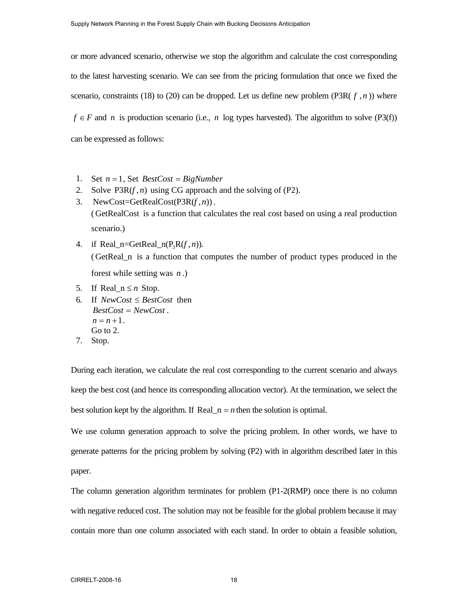or more advanced scenario, otherwise we stop the algorithm and calculate the cost corresponding to the latest harvesting scenario. We can see from the pricing formulation that once we fixed the scenario, constraints (18) to (20) can be dropped. Let us define new problem (P3R( $f, n$ )) where *f* ∈ *F* and *n* is production scenario (i.e., *n* log types harvested). The algorithm to solve (P3(f)) can be expressed as follows:

- 1. Set *n* = 1, Set *BestCost* = *BigNumber*
- 2. Solve  $P3R(f, n)$  using CG approach and the solving of  $(P2)$ .
- 3. NewCost=GetRealCost( $P3R(f, n)$ ). (GetRealCost is a function that calculates the real cost based on using a real production scenario.)
- 4. if Real n=GetReal  $n(P_R R(f, n))$ . (GetReal\_n is a function that computes the number of product types produced in the forest while setting was *n* .)
- 5. If Real\_ $n \leq n$  Stop.
- 6. If *NewCost* ≤ *BestCost* then *BestCost* = *NewCost* .  $n = n + 1$ . Go to 2.
- 7. Stop.

During each iteration, we calculate the real cost corresponding to the current scenario and always keep the best cost (and hence its corresponding allocation vector). At the termination, we select the best solution kept by the algorithm. If  $Real_n = n$  then the solution is optimal.

We use column generation approach to solve the pricing problem. In other words, we have to generate patterns for the pricing problem by solving (P2) with in algorithm described later in this paper.

The column generation algorithm terminates for problem (P1-2(RMP) once there is no column with negative reduced cost. The solution may not be feasible for the global problem because it may contain more than one column associated with each stand. In order to obtain a feasible solution,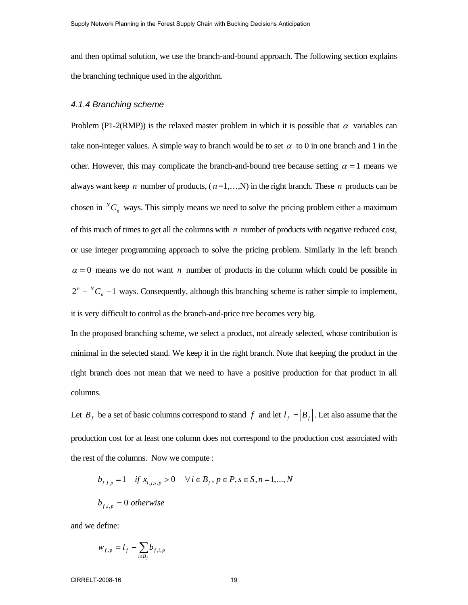and then optimal solution, we use the branch-and-bound approach. The following section explains the branching technique used in the algorithm.

### *4.1.4 Branching scheme*

Problem (P1-2(RMP)) is the relaxed master problem in which it is possible that  $\alpha$  variables can take non-integer values. A simple way to branch would be to set  $\alpha$  to 0 in one branch and 1 in the other. However, this may complicate the branch-and-bound tree because setting  $\alpha = 1$  means we always want keep *n* number of products, ( *n* =1,…,N) in the right branch. These *n* products can be chosen in  ${}^NC_n$  ways. This simply means we need to solve the pricing problem either a maximum of this much of times to get all the columns with *n* number of products with negative reduced cost, or use integer programming approach to solve the pricing problem. Similarly in the left branch  $\alpha = 0$  means we do not want *n* number of products in the column which could be possible in  $2^n - {}^N C_n - 1$  ways. Consequently, although this branching scheme is rather simple to implement, it is very difficult to control as the branch-and-price tree becomes very big.

In the proposed branching scheme, we select a product, not already selected, whose contribution is minimal in the selected stand. We keep it in the right branch. Note that keeping the product in the right branch does not mean that we need to have a positive production for that product in all columns.

Let  $B_f$  be a set of basic columns correspond to stand *f* and let  $I_f = |B_f|$ . Let also assume that the production cost for at least one column does not correspond to the production cost associated with the rest of the columns. Now we compute :

$$
b_{f,i,p} = 1 \quad \text{if } x_{i,j,s,p} > 0 \quad \forall i \in B_f, p \in P, s \in S, n = 1,...,N
$$
\n
$$
b_{f,i,p} = 0 \text{ otherwise}
$$

and we define:

$$
w_{f,p} = l_f - \sum_{i \in B_f} b_{f,i,p}
$$

CIRRELT-2008-16 19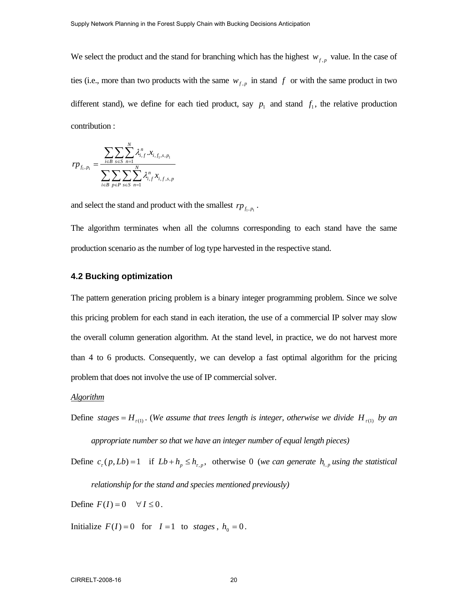We select the product and the stand for branching which has the highest  $w_{f,p}$  value. In the case of ties (i.e., more than two products with the same  $w_{f,p}$  in stand  $f$  or with the same product in two different stand), we define for each tied product, say  $p_1$  and stand  $f_1$ , the relative production contribution :

$$
rp_{f_1, p_1} = \frac{\sum_{i \in B} \sum_{s \in S} \sum_{n=1}^{N} \lambda_{i, f}^n x_{i, f_1, s, p_1}}{\sum_{i \in B} \sum_{p \in P} \sum_{s \in S} \sum_{n=1}^{N} \lambda_{i, f}^n x_{i, f, s, p}}
$$

and select the stand and product with the smallest  $rp_{f_i, p_i}$ .

The algorithm terminates when all the columns corresponding to each stand have the same production scenario as the number of log type harvested in the respective stand.

### **4.2 Bucking optimization**

The pattern generation pricing problem is a binary integer programming problem. Since we solve this pricing problem for each stand in each iteration, the use of a commercial IP solver may slow the overall column generation algorithm. At the stand level, in practice, we do not harvest more than 4 to 6 products. Consequently, we can develop a fast optimal algorithm for the pricing problem that does not involve the use of IP commercial solver.

#### *Algorithm*

Define stages =  $H_{\tau(1)}$ . (*We assume that trees length is integer, otherwise we divide H<sub>* $\tau(1)$ *</sub> by an appropriate number so that we have an integer number of equal length pieces)*

Define  $c_r(p, Lb) = 1$  if  $Lb + h_p \leq h_{r,p}$ , otherwise 0 *(we can generate*  $h_{t,p}$  *using the statistical* 

*relationship for the stand and species mentioned previously)*

Define  $F(I) = 0 \quad \forall I \leq 0$ .

Initialize  $F(I) = 0$  for  $I = 1$  to stages,  $h_0 = 0$ .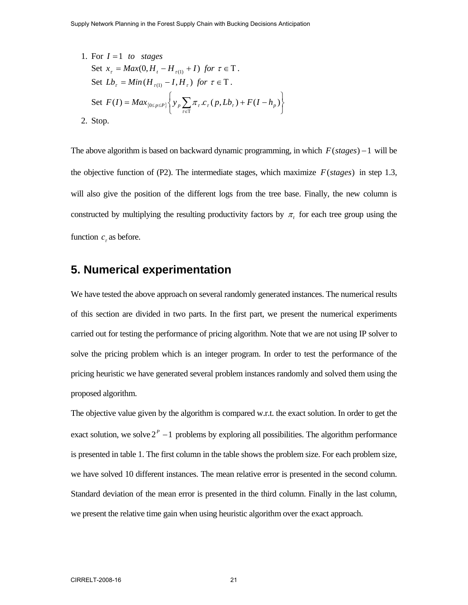1. For  $I = 1$  to stages Set  $x_{\tau} = Max(0, H_{t} - H_{\tau(1)} + I)$  for  $\tau \in T$ . Set  $Lb_\tau = Min(H_{\tau(1)} - I, H_\tau)$  for  $\tau \in T$ . Set  $F(I) = Max_{\{0 \le p \le P\}}\left\{y_p \sum_{\tau \in T} \pi_{\tau} . c_{\tau}(p, Lb_{\tau}) + F(I - h_p)\right\}$  $\overline{a}$  $\overline{a}$ ⎨  $F(I) = Max_{\{0 \le p \le P\}} \left\{ y_p \sum_{\tau \in T} \pi_{\tau} . c_{\tau}(p, Lb_{\tau}) + F(I - h_p) \right\}$ 2. Stop.

The above algorithm is based on backward dynamic programming, in which  $F(stages) - 1$  will be the objective function of (P2). The intermediate stages, which maximize  $F(stages)$  in step 1.3, will also give the position of the different logs from the tree base. Finally, the new column is constructed by multiplying the resulting productivity factors by  $\pi$ , for each tree group using the function  $c<sub>r</sub>$  as before.

# **5. Numerical experimentation**

We have tested the above approach on several randomly generated instances. The numerical results of this section are divided in two parts. In the first part, we present the numerical experiments carried out for testing the performance of pricing algorithm. Note that we are not using IP solver to solve the pricing problem which is an integer program. In order to test the performance of the pricing heuristic we have generated several problem instances randomly and solved them using the proposed algorithm.

The objective value given by the algorithm is compared w.r.t. the exact solution. In order to get the exact solution, we solve  $2^P - 1$  problems by exploring all possibilities. The algorithm performance is presented in table 1. The first column in the table shows the problem size. For each problem size, we have solved 10 different instances. The mean relative error is presented in the second column. Standard deviation of the mean error is presented in the third column. Finally in the last column, we present the relative time gain when using heuristic algorithm over the exact approach.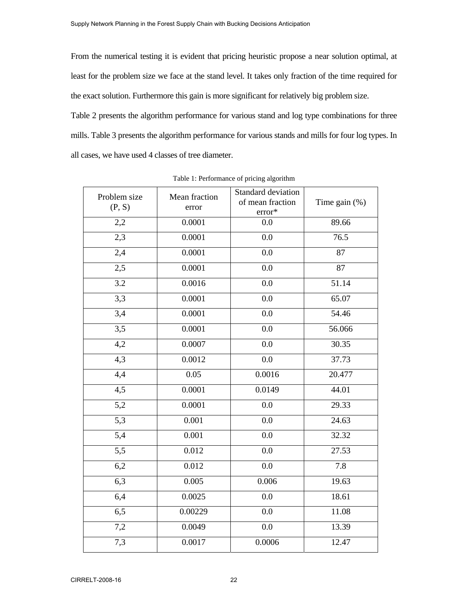From the numerical testing it is evident that pricing heuristic propose a near solution optimal, at least for the problem size we face at the stand level. It takes only fraction of the time required for the exact solution. Furthermore this gain is more significant for relatively big problem size.

Table 2 presents the algorithm performance for various stand and log type combinations for three mills. Table 3 presents the algorithm performance for various stands and mills for four log types. In all cases, we have used 4 classes of tree diameter.

| Problem size<br>(P, S) | Mean fraction<br>error | Standard deviation<br>of mean fraction<br>error* | Time gain $(\%)$ |
|------------------------|------------------------|--------------------------------------------------|------------------|
| 2,2                    | 0.0001                 | 0.0                                              | 89.66            |
| 2,3                    | 0.0001                 | 0.0                                              | 76.5             |
| 2,4                    | 0.0001                 | 0.0                                              | 87               |
| 2,5                    | 0.0001                 | 0.0                                              | 87               |
| 3.2                    | 0.0016                 | 0.0                                              | 51.14            |
| 3,3                    | 0.0001                 | 0.0                                              | 65.07            |
| 3,4                    | 0.0001                 | 0.0                                              | 54.46            |
| 3,5                    | 0.0001                 | 0.0                                              | 56.066           |
| 4,2                    | 0.0007                 | 0.0                                              | 30.35            |
| 4,3                    | 0.0012                 | 0.0                                              | 37.73            |
| 4,4                    | 0.05                   | 0.0016                                           | 20.477           |
| 4,5                    | 0.0001                 | 0.0149                                           | 44.01            |
| 5,2                    | 0.0001                 | 0.0                                              | 29.33            |
| 5,3                    | 0.001                  | 0.0                                              | 24.63            |
| 5,4                    | 0.001                  | 0.0                                              | 32.32            |
| 5,5                    | 0.012                  | 0.0                                              | 27.53            |
| 6,2                    | 0.012                  | 0.0                                              | 7.8              |
| 6,3                    | 0.005                  | 0.006                                            | 19.63            |
| 6,4                    | 0.0025                 | 0.0                                              | 18.61            |
| 6,5                    | 0.00229                | 0.0                                              | 11.08            |
| 7,2                    | 0.0049                 | 0.0                                              | 13.39            |
| 7,3                    | 0.0017                 | 0.0006                                           | 12.47            |

Table 1: Performance of pricing algorithm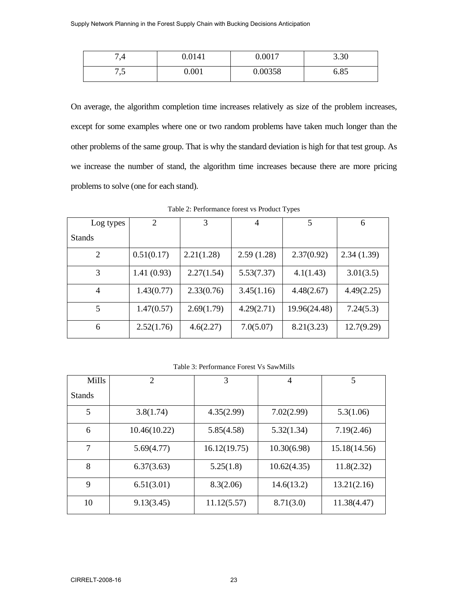| ۳.,     | 0.0141 | 0.0017  | 2.20<br>3.30 |
|---------|--------|---------|--------------|
| $\cdot$ | 0.001  | 0.00358 | 6.85         |

On average, the algorithm completion time increases relatively as size of the problem increases, except for some examples where one or two random problems have taken much longer than the other problems of the same group. That is why the standard deviation is high for that test group. As we increase the number of stand, the algorithm time increases because there are more pricing problems to solve (one for each stand).

| Log types      | 2          | 3          | $\overline{4}$ | 5            | 6          |
|----------------|------------|------------|----------------|--------------|------------|
| <b>Stands</b>  |            |            |                |              |            |
| 2              | 0.51(0.17) | 2.21(1.28) | 2.59(1.28)     | 2.37(0.92)   | 2.34(1.39) |
| 3              | 1.41(0.93) | 2.27(1.54) | 5.53(7.37)     | 4.1(1.43)    | 3.01(3.5)  |
| $\overline{4}$ | 1.43(0.77) | 2.33(0.76) | 3.45(1.16)     | 4.48(2.67)   | 4.49(2.25) |
| 5              | 1.47(0.57) | 2.69(1.79) | 4.29(2.71)     | 19.96(24.48) | 7.24(5.3)  |
| 6              | 2.52(1.76) | 4.6(2.27)  | 7.0(5.07)      | 8.21(3.23)   | 12.7(9.29) |

Table 2: Performance forest vs Product Types

Table 3: Performance Forest Vs SawMills

| <b>Mills</b>  | 2            | 3            | 4           | 5            |
|---------------|--------------|--------------|-------------|--------------|
| <b>Stands</b> |              |              |             |              |
| 5             | 3.8(1.74)    | 4.35(2.99)   | 7.02(2.99)  | 5.3(1.06)    |
| 6             | 10.46(10.22) | 5.85(4.58)   | 5.32(1.34)  | 7.19(2.46)   |
| 7             | 5.69(4.77)   | 16.12(19.75) | 10.30(6.98) | 15.18(14.56) |
| 8             | 6.37(3.63)   | 5.25(1.8)    | 10.62(4.35) | 11.8(2.32)   |
| 9             | 6.51(3.01)   | 8.3(2.06)    | 14.6(13.2)  | 13.21(2.16)  |
| 10            | 9.13(3.45)   | 11.12(5.57)  | 8.71(3.0)   | 11.38(4.47)  |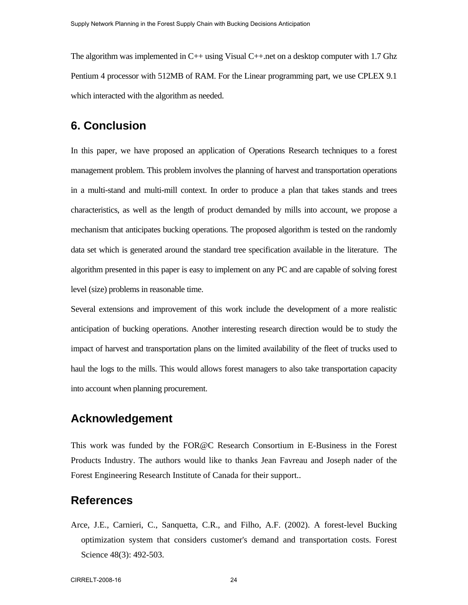The algorithm was implemented in C++ using Visual C++.net on a desktop computer with 1.7 Ghz Pentium 4 processor with 512MB of RAM. For the Linear programming part, we use CPLEX 9.1 which interacted with the algorithm as needed.

# **6. Conclusion**

In this paper, we have proposed an application of Operations Research techniques to a forest management problem. This problem involves the planning of harvest and transportation operations in a multi-stand and multi-mill context. In order to produce a plan that takes stands and trees characteristics, as well as the length of product demanded by mills into account, we propose a mechanism that anticipates bucking operations. The proposed algorithm is tested on the randomly data set which is generated around the standard tree specification available in the literature. The algorithm presented in this paper is easy to implement on any PC and are capable of solving forest level (size) problems in reasonable time.

Several extensions and improvement of this work include the development of a more realistic anticipation of bucking operations. Another interesting research direction would be to study the impact of harvest and transportation plans on the limited availability of the fleet of trucks used to haul the logs to the mills. This would allows forest managers to also take transportation capacity into account when planning procurement.

# **Acknowledgement**

This work was funded by the FOR@C Research Consortium in E-Business in the Forest Products Industry. The authors would like to thanks Jean Favreau and Joseph nader of the Forest Engineering Research Institute of Canada for their support..

## **References**

Arce, J.E., Carnieri, C., Sanquetta, C.R., and Filho, A.F. (2002). A forest-level Bucking optimization system that considers customer's demand and transportation costs. Forest Science 48(3): 492-503.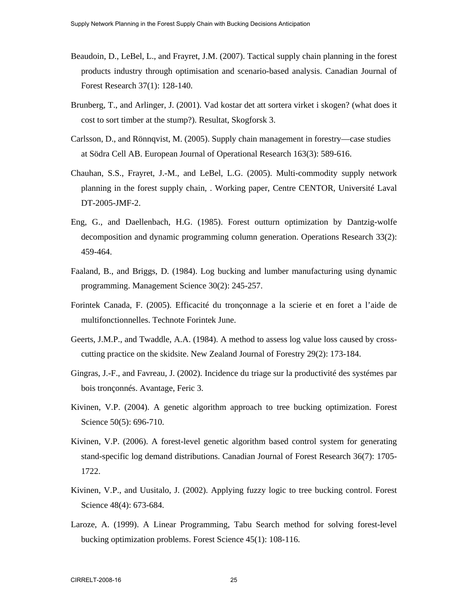- Beaudoin, D., LeBel, L., and Frayret, J.M. (2007). Tactical supply chain planning in the forest products industry through optimisation and scenario-based analysis. Canadian Journal of Forest Research 37(1): 128-140.
- Brunberg, T., and Arlinger, J. (2001). Vad kostar det att sortera virket i skogen? (what does it cost to sort timber at the stump?). Resultat, Skogforsk 3.
- Carlsson, D., and Rönnqvist, M. (2005). Supply chain management in forestry––case studies at Södra Cell AB. European Journal of Operational Research 163(3): 589-616.
- Chauhan, S.S., Frayret, J.-M., and LeBel, L.G. (2005). Multi-commodity supply network planning in the forest supply chain, . Working paper, Centre CENTOR, Université Laval DT-2005-JMF-2.
- Eng, G., and Daellenbach, H.G. (1985). Forest outturn optimization by Dantzig-wolfe decomposition and dynamic programming column generation. Operations Research 33(2): 459-464.
- Faaland, B., and Briggs, D. (1984). Log bucking and lumber manufacturing using dynamic programming. Management Science 30(2): 245-257.
- Forintek Canada, F. (2005). Efficacité du tronçonnage a la scierie et en foret a l'aide de multifonctionnelles. Technote Forintek June.
- Geerts, J.M.P., and Twaddle, A.A. (1984). A method to assess log value loss caused by crosscutting practice on the skidsite. New Zealand Journal of Forestry 29(2): 173-184.
- Gingras, J.-F., and Favreau, J. (2002). Incidence du triage sur la productivité des systémes par bois tronçonnés. Avantage, Feric 3.
- Kivinen, V.P. (2004). A genetic algorithm approach to tree bucking optimization. Forest Science 50(5): 696-710.
- Kivinen, V.P. (2006). A forest-level genetic algorithm based control system for generating stand-specific log demand distributions. Canadian Journal of Forest Research 36(7): 1705- 1722.
- Kivinen, V.P., and Uusitalo, J. (2002). Applying fuzzy logic to tree bucking control. Forest Science 48(4): 673-684.
- Laroze, A. (1999). A Linear Programming, Tabu Search method for solving forest-level bucking optimization problems. Forest Science 45(1): 108-116.